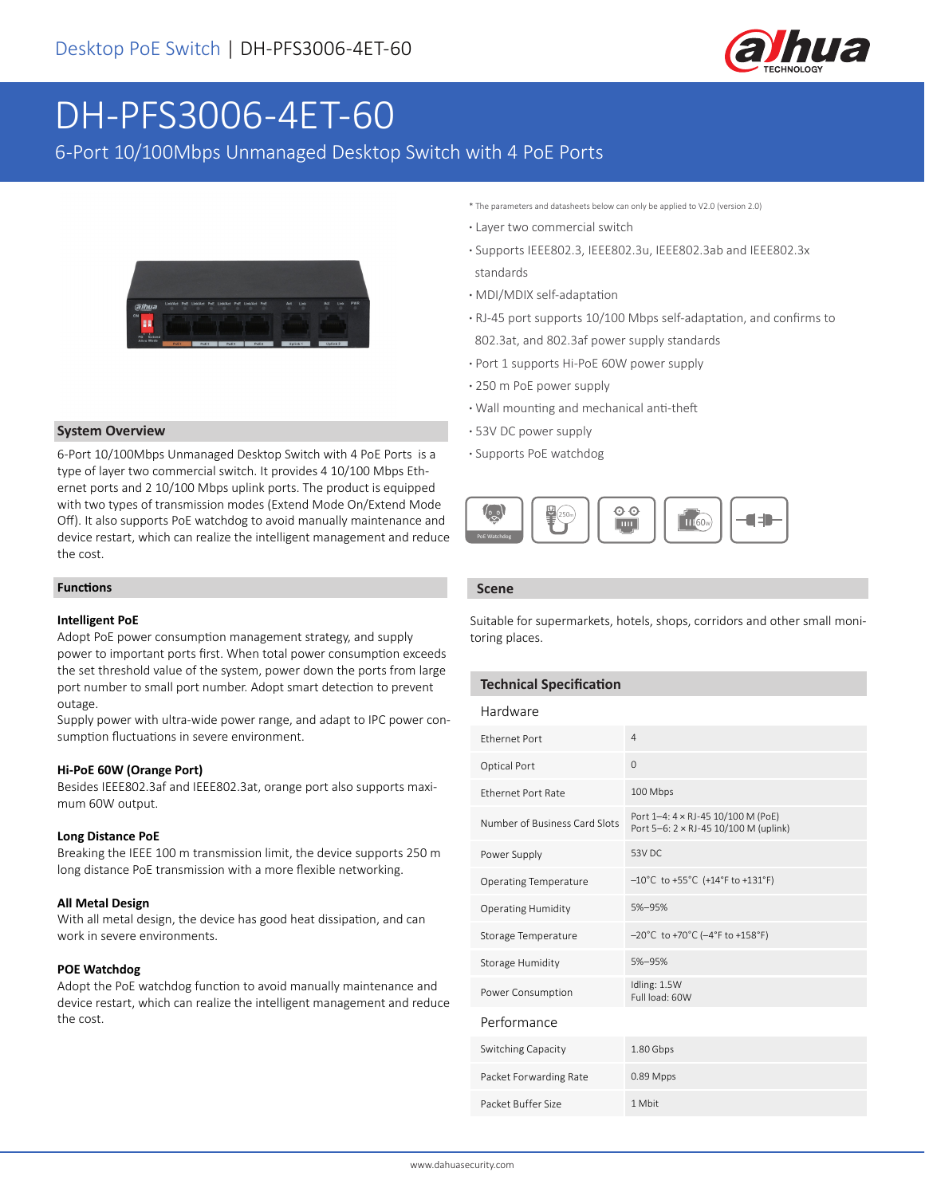

# DH-PFS3006-4ET-60

6-Port 10/100Mbps Unmanaged Desktop Switch with 4 PoE Ports



#### **System Overview**

6-Port 10/100Mbps Unmanaged Desktop Switch with 4 PoE Ports is a type of layer two commercial switch. It provides 4 10/100 Mbps Ethernet ports and 2 10/100 Mbps uplink ports. The product is equipped with two types of transmission modes (Extend Mode On/Extend Mode Off). It also supports PoE watchdog to avoid manually maintenance and device restart, which can realize the intelligent management and reduce the cost.

#### **Functions**

#### **Intelligent PoE**

Adopt PoE power consumption management strategy, and supply power to important ports first. When total power consumption exceeds the set threshold value of the system, power down the ports from large port number to small port number. Adopt smart detection to prevent outage.

Supply power with ultra-wide power range, and adapt to IPC power consumption fluctuations in severe environment.

#### **Hi-PoE 60W (Orange Port)**

Besides IEEE802.3af and IEEE802.3at, orange port also supports maximum 60W output.

#### **Long Distance PoE**

Breaking the IEEE 100 m transmission limit, the device supports 250 m long distance PoE transmission with a more flexible networking.

#### **All Metal Design**

With all metal design, the device has good heat dissipation, and can work in severe environments.

#### **POE Watchdog**

Adopt the PoE watchdog function to avoid manually maintenance and device restart, which can realize the intelligent management and reduce the cost.

- \* The parameters and datasheets below can only be applied to V2.0 (version 2.0)
- **·** Layer two commercial switch
- **·** Supports IEEE802.3, IEEE802.3u, IEEE802.3ab and IEEE802.3x standards
- **·** MDI/MDIX self-adaptation
- **·** RJ-45 port supports 10/100 Mbps self-adaptation, and confirms to 802.3at, and 802.3af power supply standards
- **·** Port 1 supports Hi-PoE 60W power supply
- **·** 250 m PoE power supply
- **·** Wall mounting and mechanical anti-theft
- **·** 53V DC power supply
- **·** Supports PoE watchdog



#### **Scene**

Suitable for supermarkets, hotels, shops, corridors and other small monitoring places.

#### **Technical Specification**

| Hardware                      |                                                                             |
|-------------------------------|-----------------------------------------------------------------------------|
| <b>Fthernet Port</b>          | $\overline{4}$                                                              |
| Optical Port                  | 0                                                                           |
| <b>Ethernet Port Rate</b>     | 100 Mbps                                                                    |
| Number of Business Card Slots | Port 1-4: 4 x RJ-45 10/100 M (PoE)<br>Port 5-6: 2 × RJ-45 10/100 M (uplink) |
| Power Supply                  | 53V DC                                                                      |
| <b>Operating Temperature</b>  | $-10^{\circ}$ C to +55 $^{\circ}$ C (+14 $^{\circ}$ F to +131 $^{\circ}$ F) |
| <b>Operating Humidity</b>     | 5%-95%                                                                      |
| Storage Temperature           | $-20^{\circ}$ C to +70 $^{\circ}$ C ( $-4^{\circ}$ F to +158 $^{\circ}$ F)  |
| Storage Humidity              | 5%-95%                                                                      |
| Power Consumption             | Idling: 1.5W<br>Full load: 60W                                              |
| Performance                   |                                                                             |
| Switching Capacity            | 1.80 Gbps                                                                   |
| Packet Forwarding Rate        | 0.89 Mpps                                                                   |
| Packet Buffer Size            | 1 Mbit                                                                      |